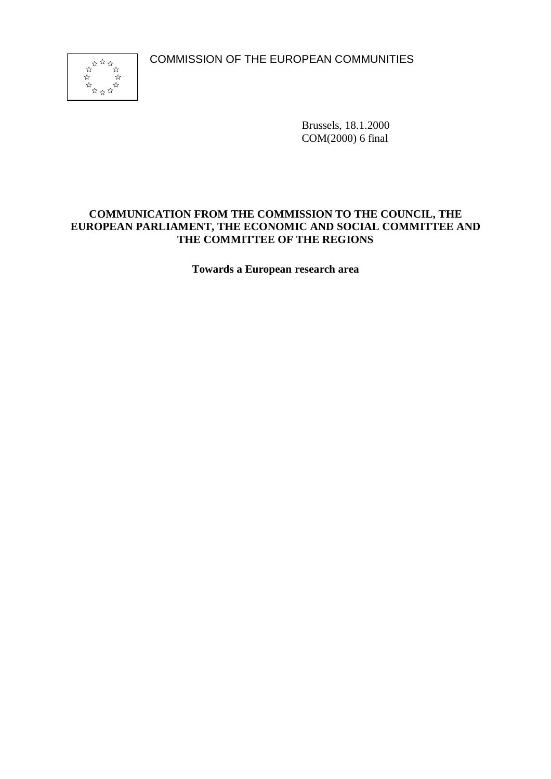COMMISSION OF THE EUROPEAN COMMUNITIES



Brussels, 18.1.2000 COM(2000) 6 final

### **COMMUNICATION FROM THE COMMISSION TO THE COUNCIL, THE EUROPEAN PARLIAMENT, THE ECONOMIC AND SOCIAL COMMITTEE AND THE COMMITTEE OF THE REGIONS**

**Towards a European research area**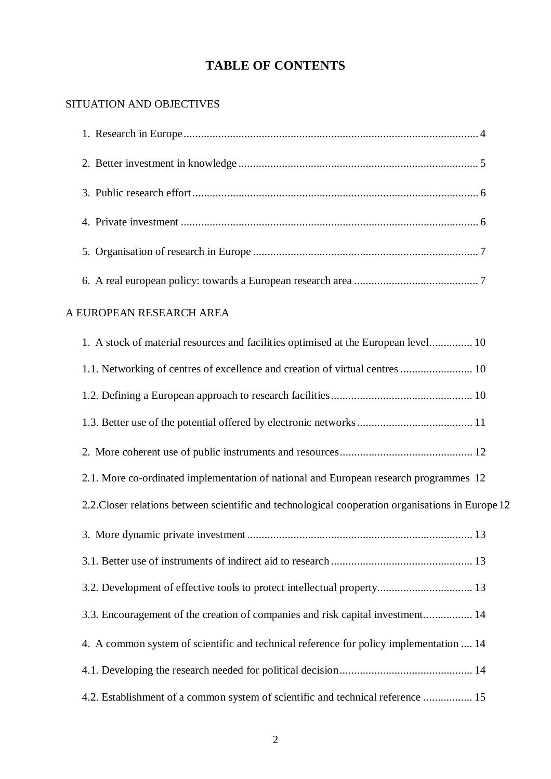# **TABLE OF CONTENTS**

# SITUATION AND OBJECTIVES

# A EUROPEAN RESEARCH AREA

| 1. A stock of material resources and facilities optimised at the European level 10                |
|---------------------------------------------------------------------------------------------------|
| 1.1. Networking of centres of excellence and creation of virtual centres  10                      |
|                                                                                                   |
|                                                                                                   |
|                                                                                                   |
| 2.1. More co-ordinated implementation of national and European research programmes 12             |
| 2.2. Closer relations between scientific and technological cooperation organisations in Europe 12 |
|                                                                                                   |
|                                                                                                   |
| 3.2. Development of effective tools to protect intellectual property 13                           |
| 3.3. Encouragement of the creation of companies and risk capital investment 14                    |
| 4. A common system of scientific and technical reference for policy implementation  14            |
|                                                                                                   |
| 4.2. Establishment of a common system of scientific and technical reference  15                   |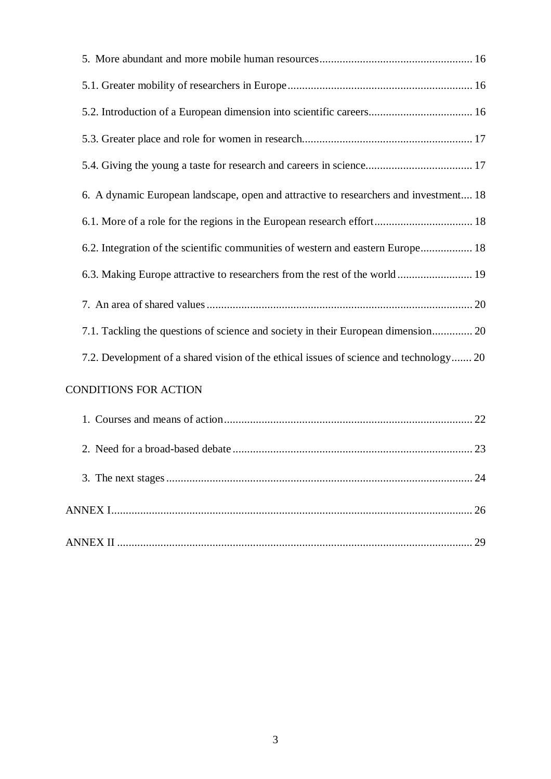| 6. A dynamic European landscape, open and attractive to researchers and investment 18  |    |
|----------------------------------------------------------------------------------------|----|
|                                                                                        |    |
| 6.2. Integration of the scientific communities of western and eastern Europe 18        |    |
| 6.3. Making Europe attractive to researchers from the rest of the world 19             |    |
|                                                                                        |    |
| 7.1. Tackling the questions of science and society in their European dimension 20      |    |
| 7.2. Development of a shared vision of the ethical issues of science and technology 20 |    |
| CONDITIONS FOR ACTION                                                                  |    |
|                                                                                        |    |
|                                                                                        |    |
|                                                                                        |    |
|                                                                                        | 26 |
|                                                                                        |    |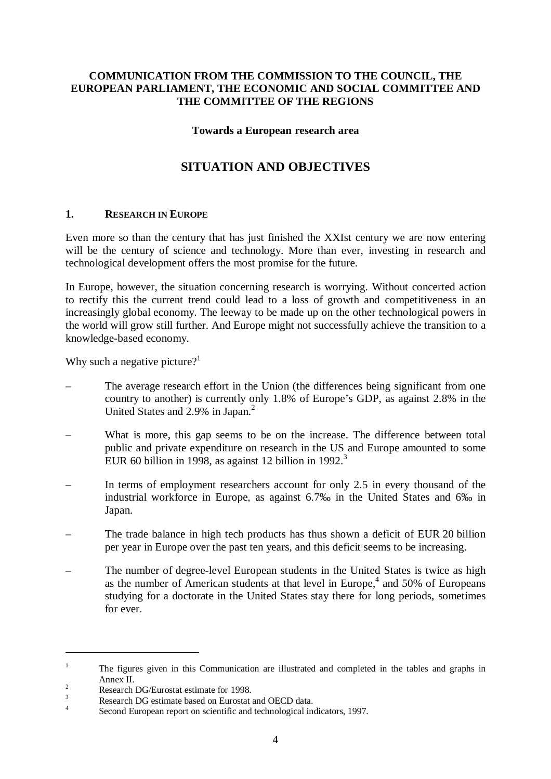### **COMMUNICATION FROM THE COMMISSION TO THE COUNCIL, THE EUROPEAN PARLIAMENT, THE ECONOMIC AND SOCIAL COMMITTEE AND THE COMMITTEE OF THE REGIONS**

#### **Towards a European research area**

# **SITUATION AND OBJECTIVES**

#### **1. RESEARCH IN EUROPE**

Even more so than the century that has just finished the XXIst century we are now entering will be the century of science and technology. More than ever, investing in research and technological development offers the most promise for the future.

In Europe, however, the situation concerning research is worrying. Without concerted action to rectify this the current trend could lead to a loss of growth and competitiveness in an increasingly global economy. The leeway to be made up on the other technological powers in the world will grow still further. And Europe might not successfully achieve the transition to a knowledge-based economy.

Why such a negative picture?<sup>1</sup>

- The average research effort in the Union (the differences being significant from one country to another) is currently only 1.8% of Europe's GDP, as against 2.8% in the United States and 2.9% in Japan.<sup>2</sup>
- What is more, this gap seems to be on the increase. The difference between total public and private expenditure on research in the US and Europe amounted to some EUR 60 billion in 1998, as against 12 billion in 1992. $3$
- In terms of employment researchers account for only 2.5 in every thousand of the industrial workforce in Europe, as against 6.7‰ in the United States and 6‰ in Japan.
- The trade balance in high tech products has thus shown a deficit of EUR 20 billion per year in Europe over the past ten years, and this deficit seems to be increasing.
- The number of degree-level European students in the United States is twice as high as the number of American students at that level in Europe,<sup>4</sup> and 50% of Europeans studying for a doctorate in the United States stay there for long periods, sometimes for ever.

<sup>&</sup>lt;sup>1</sup> The figures given in this Communication are illustrated and completed in the tables and graphs in Annex II.<br>
<sup>2</sup><br>
Research DG/Eurostat estimate for 1998.<br>
<sup>3</sup><br>
Second European report on scientific and technological indicators, 1997.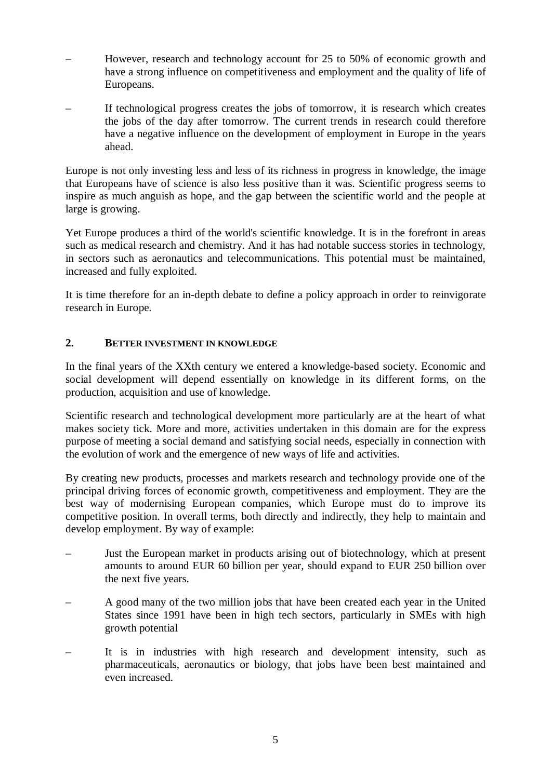- However, research and technology account for 25 to 50% of economic growth and have a strong influence on competitiveness and employment and the quality of life of Europeans.
- If technological progress creates the jobs of tomorrow, it is research which creates the jobs of the day after tomorrow. The current trends in research could therefore have a negative influence on the development of employment in Europe in the years ahead.

Europe is not only investing less and less of its richness in progress in knowledge, the image that Europeans have of science is also less positive than it was. Scientific progress seems to inspire as much anguish as hope, and the gap between the scientific world and the people at large is growing.

Yet Europe produces a third of the world's scientific knowledge. It is in the forefront in areas such as medical research and chemistry. And it has had notable success stories in technology, in sectors such as aeronautics and telecommunications. This potential must be maintained, increased and fully exploited.

It is time therefore for an in-depth debate to define a policy approach in order to reinvigorate research in Europe.

### **2. BETTER INVESTMENT IN KNOWLEDGE**

In the final years of the XXth century we entered a knowledge-based society. Economic and social development will depend essentially on knowledge in its different forms, on the production, acquisition and use of knowledge.

Scientific research and technological development more particularly are at the heart of what makes society tick. More and more, activities undertaken in this domain are for the express purpose of meeting a social demand and satisfying social needs, especially in connection with the evolution of work and the emergence of new ways of life and activities.

By creating new products, processes and markets research and technology provide one of the principal driving forces of economic growth, competitiveness and employment. They are the best way of modernising European companies, which Europe must do to improve its competitive position. In overall terms, both directly and indirectly, they help to maintain and develop employment. By way of example:

- Just the European market in products arising out of biotechnology, which at present amounts to around EUR 60 billion per year, should expand to EUR 250 billion over the next five years.
- A good many of the two million jobs that have been created each year in the United States since 1991 have been in high tech sectors, particularly in SMEs with high growth potential
- It is in industries with high research and development intensity, such as pharmaceuticals, aeronautics or biology, that jobs have been best maintained and even increased.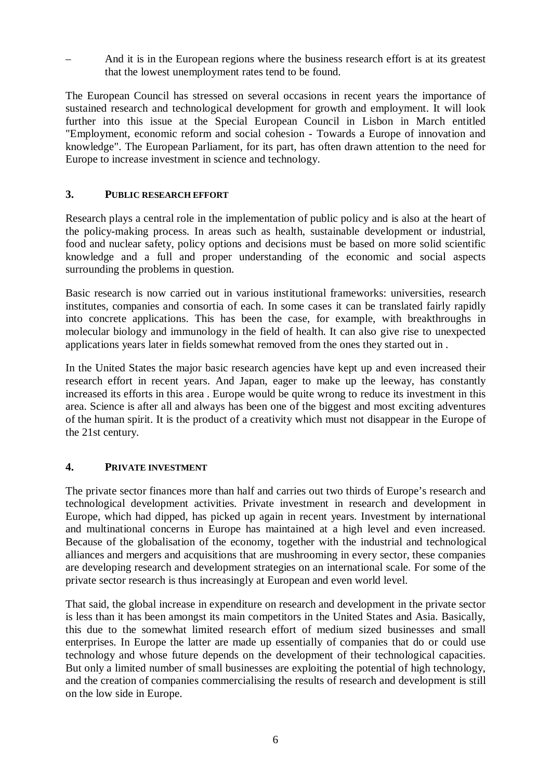– And it is in the European regions where the business research effort is at its greatest that the lowest unemployment rates tend to be found.

The European Council has stressed on several occasions in recent years the importance of sustained research and technological development for growth and employment. It will look further into this issue at the Special European Council in Lisbon in March entitled "Employment, economic reform and social cohesion - Towards a Europe of innovation and knowledge". The European Parliament, for its part, has often drawn attention to the need for Europe to increase investment in science and technology.

### **3. PUBLIC RESEARCH EFFORT**

Research plays a central role in the implementation of public policy and is also at the heart of the policy-making process. In areas such as health, sustainable development or industrial, food and nuclear safety, policy options and decisions must be based on more solid scientific knowledge and a full and proper understanding of the economic and social aspects surrounding the problems in question.

Basic research is now carried out in various institutional frameworks: universities, research institutes, companies and consortia of each. In some cases it can be translated fairly rapidly into concrete applications. This has been the case, for example, with breakthroughs in molecular biology and immunology in the field of health. It can also give rise to unexpected applications years later in fields somewhat removed from the ones they started out in .

In the United States the major basic research agencies have kept up and even increased their research effort in recent years. And Japan, eager to make up the leeway, has constantly increased its efforts in this area . Europe would be quite wrong to reduce its investment in this area. Science is after all and always has been one of the biggest and most exciting adventures of the human spirit. It is the product of a creativity which must not disappear in the Europe of the 21st century.

### **4. PRIVATE INVESTMENT**

The private sector finances more than half and carries out two thirds of Europe's research and technological development activities. Private investment in research and development in Europe, which had dipped, has picked up again in recent years. Investment by international and multinational concerns in Europe has maintained at a high level and even increased. Because of the globalisation of the economy, together with the industrial and technological alliances and mergers and acquisitions that are mushrooming in every sector, these companies are developing research and development strategies on an international scale. For some of the private sector research is thus increasingly at European and even world level.

That said, the global increase in expenditure on research and development in the private sector is less than it has been amongst its main competitors in the United States and Asia. Basically, this due to the somewhat limited research effort of medium sized businesses and small enterprises. In Europe the latter are made up essentially of companies that do or could use technology and whose future depends on the development of their technological capacities. But only a limited number of small businesses are exploiting the potential of high technology, and the creation of companies commercialising the results of research and development is still on the low side in Europe.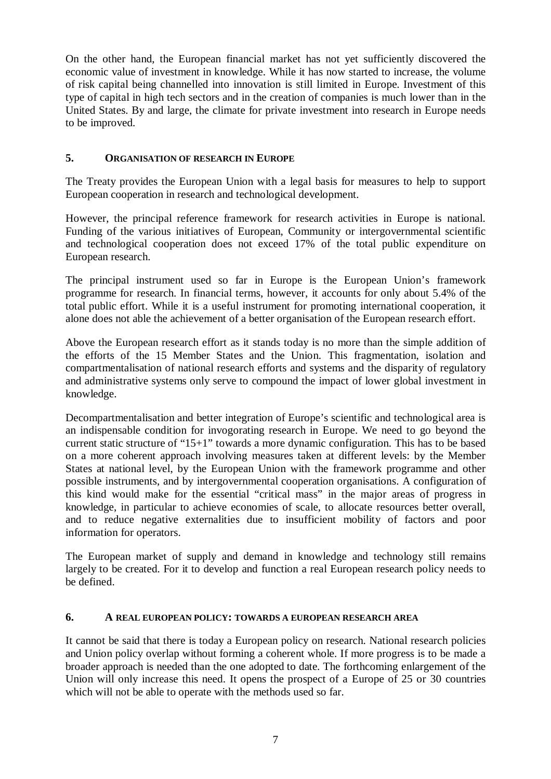On the other hand, the European financial market has not yet sufficiently discovered the economic value of investment in knowledge. While it has now started to increase, the volume of risk capital being channelled into innovation is still limited in Europe. Investment of this type of capital in high tech sectors and in the creation of companies is much lower than in the United States. By and large, the climate for private investment into research in Europe needs to be improved.

### **5. ORGANISATION OF RESEARCH IN EUROPE**

The Treaty provides the European Union with a legal basis for measures to help to support European cooperation in research and technological development.

However, the principal reference framework for research activities in Europe is national. Funding of the various initiatives of European, Community or intergovernmental scientific and technological cooperation does not exceed 17% of the total public expenditure on European research.

The principal instrument used so far in Europe is the European Union's framework programme for research. In financial terms, however, it accounts for only about 5.4% of the total public effort. While it is a useful instrument for promoting international cooperation, it alone does not able the achievement of a better organisation of the European research effort.

Above the European research effort as it stands today is no more than the simple addition of the efforts of the 15 Member States and the Union. This fragmentation, isolation and compartmentalisation of national research efforts and systems and the disparity of regulatory and administrative systems only serve to compound the impact of lower global investment in knowledge.

Decompartmentalisation and better integration of Europe's scientific and technological area is an indispensable condition for invogorating research in Europe. We need to go beyond the current static structure of "15+1" towards a more dynamic configuration. This has to be based on a more coherent approach involving measures taken at different levels: by the Member States at national level, by the European Union with the framework programme and other possible instruments, and by intergovernmental cooperation organisations. A configuration of this kind would make for the essential "critical mass" in the major areas of progress in knowledge, in particular to achieve economies of scale, to allocate resources better overall, and to reduce negative externalities due to insufficient mobility of factors and poor information for operators.

The European market of supply and demand in knowledge and technology still remains largely to be created. For it to develop and function a real European research policy needs to be defined.

#### **6. A REAL EUROPEAN POLICY: TOWARDS A EUROPEAN RESEARCH AREA**

It cannot be said that there is today a European policy on research. National research policies and Union policy overlap without forming a coherent whole. If more progress is to be made a broader approach is needed than the one adopted to date. The forthcoming enlargement of the Union will only increase this need. It opens the prospect of a Europe of 25 or 30 countries which will not be able to operate with the methods used so far.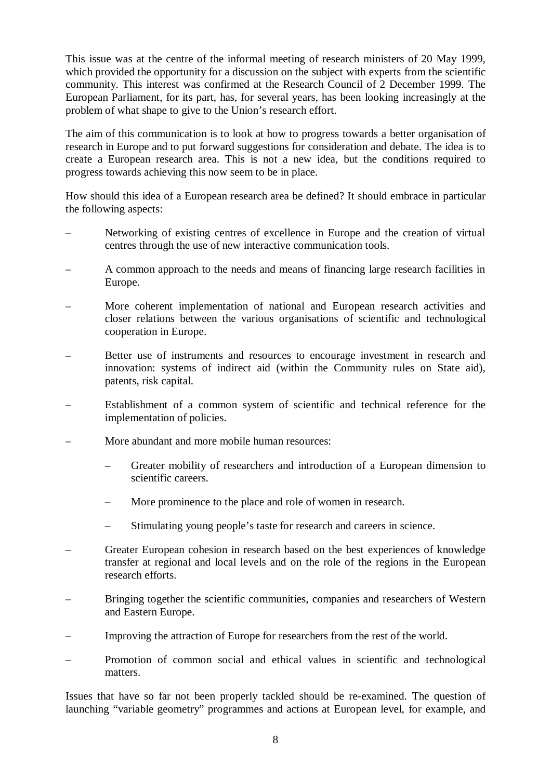This issue was at the centre of the informal meeting of research ministers of 20 May 1999, which provided the opportunity for a discussion on the subject with experts from the scientific community. This interest was confirmed at the Research Council of 2 December 1999. The European Parliament, for its part, has, for several years, has been looking increasingly at the problem of what shape to give to the Union's research effort.

The aim of this communication is to look at how to progress towards a better organisation of research in Europe and to put forward suggestions for consideration and debate. The idea is to create a European research area. This is not a new idea, but the conditions required to progress towards achieving this now seem to be in place.

How should this idea of a European research area be defined? It should embrace in particular the following aspects:

- Networking of existing centres of excellence in Europe and the creation of virtual centres through the use of new interactive communication tools.
- A common approach to the needs and means of financing large research facilities in Europe.
- More coherent implementation of national and European research activities and closer relations between the various organisations of scientific and technological cooperation in Europe.
- Better use of instruments and resources to encourage investment in research and innovation: systems of indirect aid (within the Community rules on State aid), patents, risk capital.
- Establishment of a common system of scientific and technical reference for the implementation of policies.
- More abundant and more mobile human resources:
	- Greater mobility of researchers and introduction of a European dimension to scientific careers.
	- More prominence to the place and role of women in research.
	- Stimulating young people's taste for research and careers in science.
- Greater European cohesion in research based on the best experiences of knowledge transfer at regional and local levels and on the role of the regions in the European research efforts.
- Bringing together the scientific communities, companies and researchers of Western and Eastern Europe.
- Improving the attraction of Europe for researchers from the rest of the world.
- Promotion of common social and ethical values in scientific and technological matters.

Issues that have so far not been properly tackled should be re-examined. The question of launching "variable geometry" programmes and actions at European level, for example, and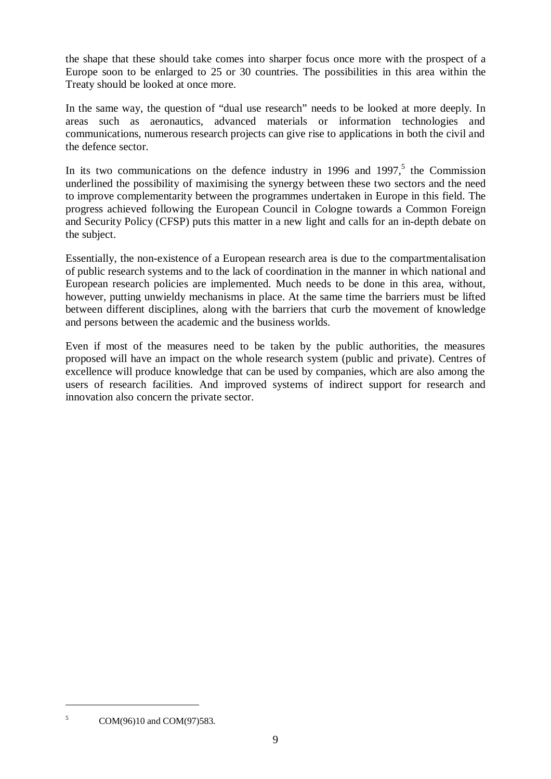the shape that these should take comes into sharper focus once more with the prospect of a Europe soon to be enlarged to 25 or 30 countries. The possibilities in this area within the Treaty should be looked at once more.

In the same way, the question of "dual use research" needs to be looked at more deeply. In areas such as aeronautics, advanced materials or information technologies and communications, numerous research projects can give rise to applications in both the civil and the defence sector.

In its two communications on the defence industry in 1996 and 1997, $5$  the Commission underlined the possibility of maximising the synergy between these two sectors and the need to improve complementarity between the programmes undertaken in Europe in this field. The progress achieved following the European Council in Cologne towards a Common Foreign and Security Policy (CFSP) puts this matter in a new light and calls for an in-depth debate on the subject.

Essentially, the non-existence of a European research area is due to the compartmentalisation of public research systems and to the lack of coordination in the manner in which national and European research policies are implemented. Much needs to be done in this area, without, however, putting unwieldy mechanisms in place. At the same time the barriers must be lifted between different disciplines, along with the barriers that curb the movement of knowledge and persons between the academic and the business worlds.

Even if most of the measures need to be taken by the public authorities, the measures proposed will have an impact on the whole research system (public and private). Centres of excellence will produce knowledge that can be used by companies, which are also among the users of research facilities. And improved systems of indirect support for research and innovation also concern the private sector.

<sup>&</sup>lt;sup>5</sup> COM(96)10 and COM(97)583.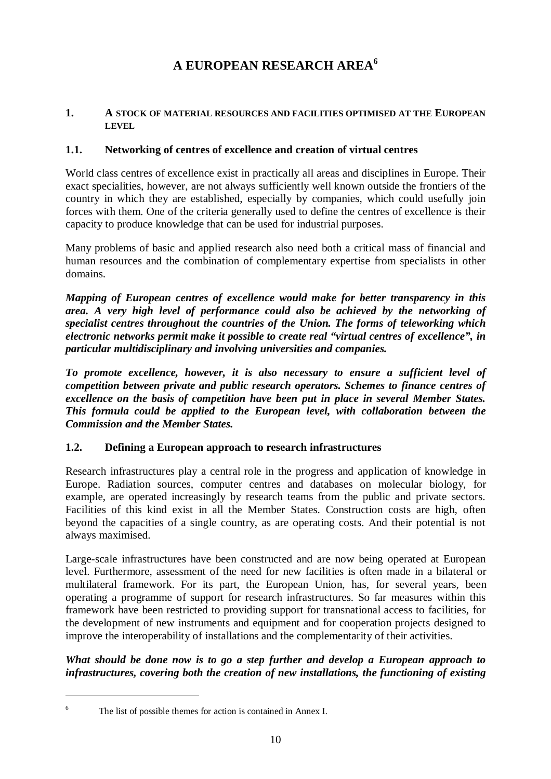# **A EUROPEAN RESEARCH AREA<sup>6</sup>**

#### **1. A STOCK OF MATERIAL RESOURCES AND FACILITIES OPTIMISED AT THE EUROPEAN LEVEL**

### **1.1. Networking of centres of excellence and creation of virtual centres**

World class centres of excellence exist in practically all areas and disciplines in Europe. Their exact specialities, however, are not always sufficiently well known outside the frontiers of the country in which they are established, especially by companies, which could usefully join forces with them. One of the criteria generally used to define the centres of excellence is their capacity to produce knowledge that can be used for industrial purposes.

Many problems of basic and applied research also need both a critical mass of financial and human resources and the combination of complementary expertise from specialists in other domains.

*Mapping of European centres of excellence would make for better transparency in this area. A very high level of performance could also be achieved by the networking of specialist centres throughout the countries of the Union. The forms of teleworking which electronic networks permit make it possible to create real "virtual centres of excellence", in particular multidisciplinary and involving universities and companies.*

*To promote excellence, however, it is also necessary to ensure a sufficient level of competition between private and public research operators. Schemes to finance centres of excellence on the basis of competition have been put in place in several Member States. This formula could be applied to the European level, with collaboration between the Commission and the Member States.*

### **1.2. Defining a European approach to research infrastructures**

Research infrastructures play a central role in the progress and application of knowledge in Europe. Radiation sources, computer centres and databases on molecular biology, for example, are operated increasingly by research teams from the public and private sectors. Facilities of this kind exist in all the Member States. Construction costs are high, often beyond the capacities of a single country, as are operating costs. And their potential is not always maximised.

Large-scale infrastructures have been constructed and are now being operated at European level. Furthermore, assessment of the need for new facilities is often made in a bilateral or multilateral framework. For its part, the European Union, has, for several years, been operating a programme of support for research infrastructures. So far measures within this framework have been restricted to providing support for transnational access to facilities, for the development of new instruments and equipment and for cooperation projects designed to improve the interoperability of installations and the complementarity of their activities.

*What should be done now is to go a step further and develop a European approach to infrastructures, covering both the creation of new installations, the functioning of existing*

<sup>6</sup> The list of possible themes for action is contained in Annex I.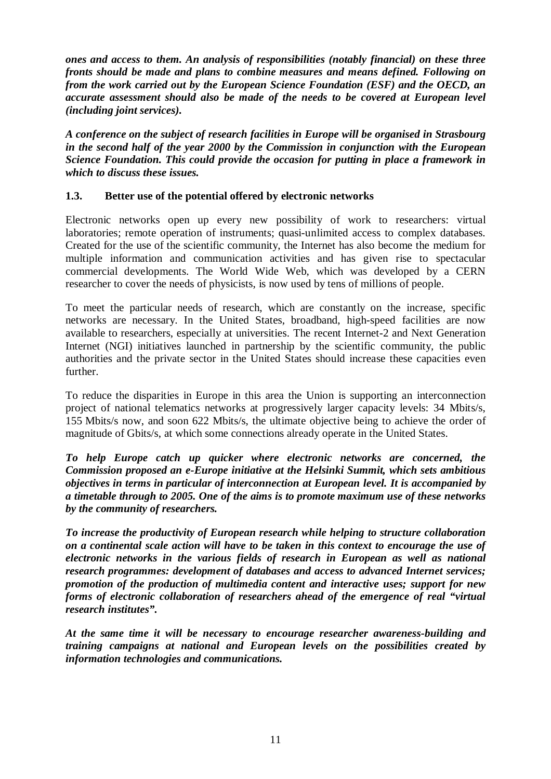*ones and access to them. An analysis of responsibilities (notably financial) on these three fronts should be made and plans to combine measures and means defined. Following on from the work carried out by the European Science Foundation (ESF) and the OECD, an accurate assessment should also be made of the needs to be covered at European level (including joint services).*

*A conference on the subject of research facilities in Europe will be organised in Strasbourg in the second half of the year 2000 by the Commission in conjunction with the European Science Foundation. This could provide the occasion for putting in place a framework in which to discuss these issues.*

### **1.3. Better use of the potential offered by electronic networks**

Electronic networks open up every new possibility of work to researchers: virtual laboratories; remote operation of instruments; quasi-unlimited access to complex databases. Created for the use of the scientific community, the Internet has also become the medium for multiple information and communication activities and has given rise to spectacular commercial developments. The World Wide Web, which was developed by a CERN researcher to cover the needs of physicists, is now used by tens of millions of people.

To meet the particular needs of research, which are constantly on the increase, specific networks are necessary. In the United States, broadband, high-speed facilities are now available to researchers, especially at universities. The recent Internet-2 and Next Generation Internet (NGI) initiatives launched in partnership by the scientific community, the public authorities and the private sector in the United States should increase these capacities even further.

To reduce the disparities in Europe in this area the Union is supporting an interconnection project of national telematics networks at progressively larger capacity levels: 34 Mbits/s, 155 Mbits/s now, and soon 622 Mbits/s, the ultimate objective being to achieve the order of magnitude of Gbits/s, at which some connections already operate in the United States.

*To help Europe catch up quicker where electronic networks are concerned, the Commission proposed an e-Europe initiative at the Helsinki Summit, which sets ambitious objectives in terms in particular of interconnection at European level. It is accompanied by a timetable through to 2005. One of the aims is to promote maximum use of these networks by the community of researchers.*

*To increase the productivity of European research while helping to structure collaboration on a continental scale action will have to be taken in this context to encourage the use of electronic networks in the various fields of research in European as well as national research programmes: development of databases and access to advanced Internet services; promotion of the production of multimedia content and interactive uses; support for new forms of electronic collaboration of researchers ahead of the emergence of real "virtual research institutes".*

*At the same time it will be necessary to encourage researcher awareness-building and training campaigns at national and European levels on the possibilities created by information technologies and communications.*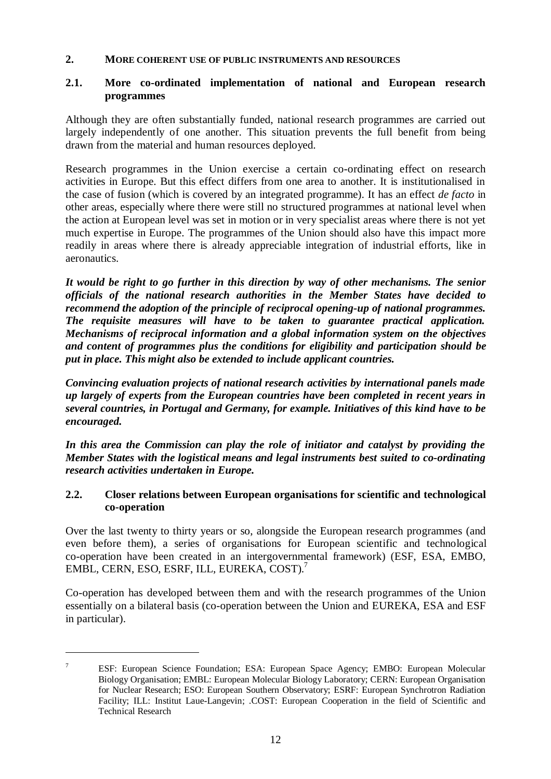#### **2. MORE COHERENT USE OF PUBLIC INSTRUMENTS AND RESOURCES**

### **2.1. More co-ordinated implementation of national and European research programmes**

Although they are often substantially funded, national research programmes are carried out largely independently of one another. This situation prevents the full benefit from being drawn from the material and human resources deployed.

Research programmes in the Union exercise a certain co-ordinating effect on research activities in Europe. But this effect differs from one area to another. It is institutionalised in the case of fusion (which is covered by an integrated programme). It has an effect *de facto* in other areas, especially where there were still no structured programmes at national level when the action at European level was set in motion or in very specialist areas where there is not yet much expertise in Europe. The programmes of the Union should also have this impact more readily in areas where there is already appreciable integration of industrial efforts, like in aeronautics.

*It would be right to go further in this direction by way of other mechanisms. The senior officials of the national research authorities in the Member States have decided to recommend the adoption of the principle of reciprocal opening-up of national programmes. The requisite measures will have to be taken to guarantee practical application. Mechanisms of reciprocal information and a global information system on the objectives and content of programmes plus the conditions for eligibility and participation should be put in place. This might also be extended to include applicant countries.*

*Convincing evaluation projects of national research activities by international panels made up largely of experts from the European countries have been completed in recent years in several countries, in Portugal and Germany, for example. Initiatives of this kind have to be encouraged.*

*In this area the Commission can play the role of initiator and catalyst by providing the Member States with the logistical means and legal instruments best suited to co-ordinating research activities undertaken in Europe.*

#### **2.2. Closer relations between European organisations for scientific and technological co-operation**

Over the last twenty to thirty years or so, alongside the European research programmes (and even before them), a series of organisations for European scientific and technological co-operation have been created in an intergovernmental framework) (ESF, ESA, EMBO, EMBL, CERN, ESO, ESRF, ILL, EUREKA, COST).7

Co-operation has developed between them and with the research programmes of the Union essentially on a bilateral basis (co-operation between the Union and EUREKA, ESA and ESF in particular).

<sup>7</sup> ESF: European Science Foundation; ESA: European Space Agency; EMBO: European Molecular Biology Organisation; EMBL: European Molecular Biology Laboratory; CERN: European Organisation for Nuclear Research; ESO: European Southern Observatory; ESRF: European Synchrotron Radiation Facility; ILL: Institut Laue-Langevin; .COST: European Cooperation in the field of Scientific and Technical Research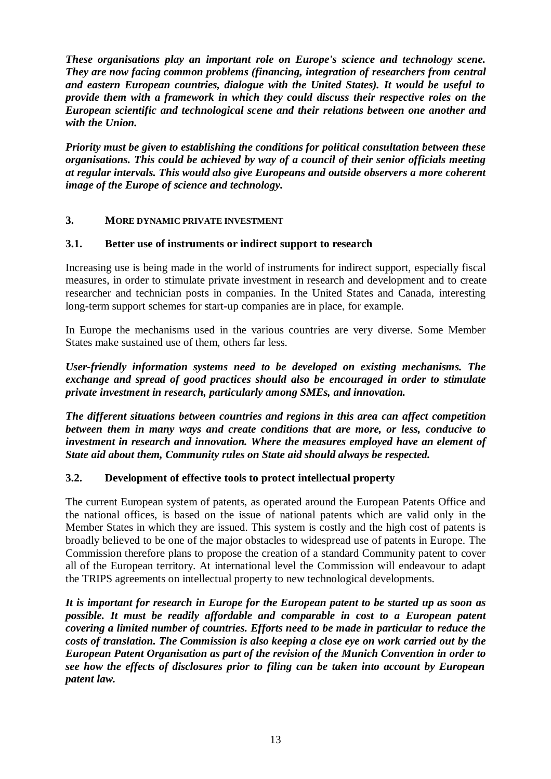*These organisations play an important role on Europe's science and technology scene. They are now facing common problems (financing, integration of researchers from central and eastern European countries, dialogue with the United States). It would be useful to provide them with a framework in which they could discuss their respective roles on the European scientific and technological scene and their relations between one another and with the Union.*

*Priority must be given to establishing the conditions for political consultation between these organisations. This could be achieved by way of a council of their senior officials meeting at regular intervals. This would also give Europeans and outside observers a more coherent image of the Europe of science and technology.*

### **3. MORE DYNAMIC PRIVATE INVESTMENT**

#### **3.1. Better use of instruments or indirect support to research**

Increasing use is being made in the world of instruments for indirect support, especially fiscal measures, in order to stimulate private investment in research and development and to create researcher and technician posts in companies. In the United States and Canada, interesting long-term support schemes for start-up companies are in place, for example.

In Europe the mechanisms used in the various countries are very diverse. Some Member States make sustained use of them, others far less.

*User-friendly information systems need to be developed on existing mechanisms. The exchange and spread of good practices should also be encouraged in order to stimulate private investment in research, particularly among SMEs, and innovation.*

*The different situations between countries and regions in this area can affect competition between them in many ways and create conditions that are more, or less, conducive to investment in research and innovation. Where the measures employed have an element of State aid about them, Community rules on State aid should always be respected.*

#### **3.2. Development of effective tools to protect intellectual property**

The current European system of patents, as operated around the European Patents Office and the national offices, is based on the issue of national patents which are valid only in the Member States in which they are issued. This system is costly and the high cost of patents is broadly believed to be one of the major obstacles to widespread use of patents in Europe. The Commission therefore plans to propose the creation of a standard Community patent to cover all of the European territory. At international level the Commission will endeavour to adapt the TRIPS agreements on intellectual property to new technological developments.

*It is important for research in Europe for the European patent to be started up as soon as possible. It must be readily affordable and comparable in cost to a European patent covering a limited number of countries. Efforts need to be made in particular to reduce the costs of translation. The Commission is also keeping a close eye on work carried out by the European Patent Organisation as part of the revision of the Munich Convention in order to see how the effects of disclosures prior to filing can be taken into account by European patent law.*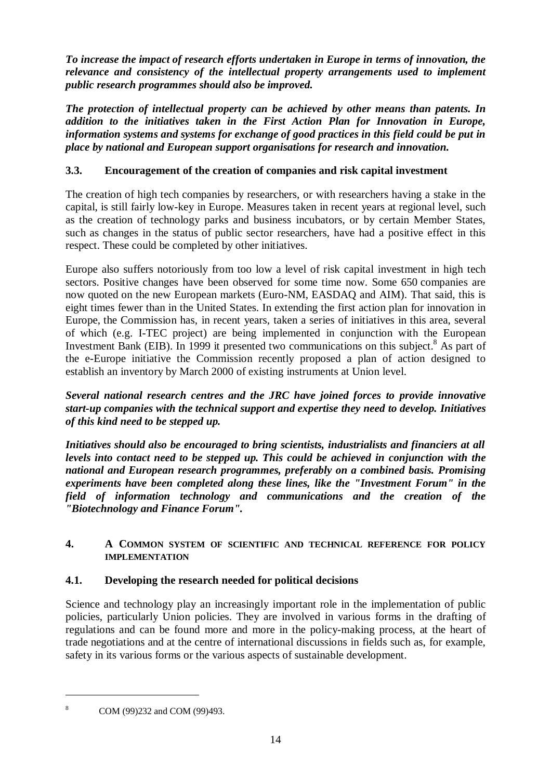*To increase the impact of research efforts undertaken in Europe in terms of innovation, the relevance and consistency of the intellectual property arrangements used to implement public research programmes should also be improved.*

*The protection of intellectual property can be achieved by other means than patents. In addition to the initiatives taken in the First Action Plan for Innovation in Europe, information systems and systems for exchange of good practices in this field could be put in place by national and European support organisations for research and innovation.*

## **3.3. Encouragement of the creation of companies and risk capital investment**

The creation of high tech companies by researchers, or with researchers having a stake in the capital, is still fairly low-key in Europe. Measures taken in recent years at regional level, such as the creation of technology parks and business incubators, or by certain Member States, such as changes in the status of public sector researchers, have had a positive effect in this respect. These could be completed by other initiatives.

Europe also suffers notoriously from too low a level of risk capital investment in high tech sectors. Positive changes have been observed for some time now. Some 650 companies are now quoted on the new European markets (Euro-NM, EASDAQ and AIM). That said, this is eight times fewer than in the United States. In extending the first action plan for innovation in Europe, the Commission has, in recent years, taken a series of initiatives in this area, several of which (e.g. I-TEC project) are being implemented in conjunction with the European Investment Bank (EIB). In 1999 it presented two communications on this subject.<sup>8</sup> As part of the e-Europe initiative the Commission recently proposed a plan of action designed to establish an inventory by March 2000 of existing instruments at Union level.

*Several national research centres and the JRC have joined forces to provide innovative start-up companies with the technical support and expertise they need to develop. Initiatives of this kind need to be stepped up.*

*Initiatives should also be encouraged to bring scientists, industrialists and financiers at all levels into contact need to be stepped up. This could be achieved in conjunction with the national and European research programmes, preferably on a combined basis. Promising experiments have been completed along these lines, like the "Investment Forum" in the field of information technology and communications and the creation of the "Biotechnology and Finance Forum".*

### **4. A COMMON SYSTEM OF SCIENTIFIC AND TECHNICAL REFERENCE FOR POLICY IMPLEMENTATION**

### **4.1. Developing the research needed for political decisions**

Science and technology play an increasingly important role in the implementation of public policies, particularly Union policies. They are involved in various forms in the drafting of regulations and can be found more and more in the policy-making process, at the heart of trade negotiations and at the centre of international discussions in fields such as, for example, safety in its various forms or the various aspects of sustainable development.

COM (99)232 and COM (99)493.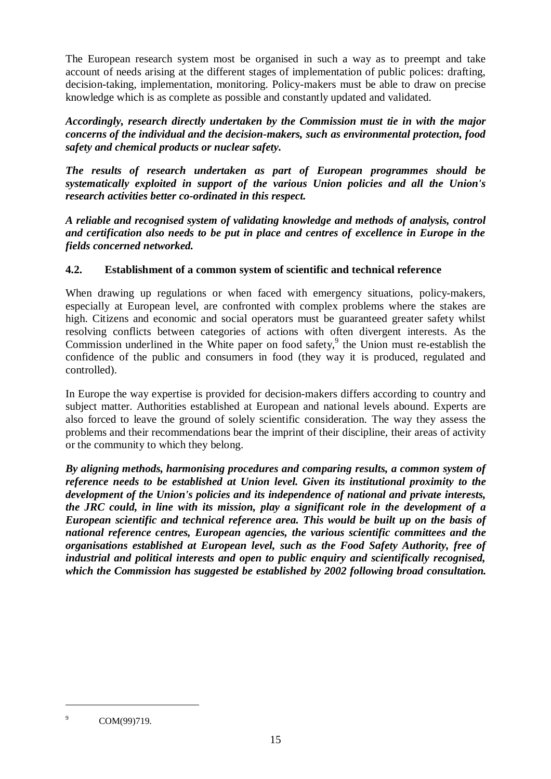The European research system most be organised in such a way as to preempt and take account of needs arising at the different stages of implementation of public polices: drafting, decision-taking, implementation, monitoring. Policy-makers must be able to draw on precise knowledge which is as complete as possible and constantly updated and validated.

*Accordingly, research directly undertaken by the Commission must tie in with the major concerns of the individual and the decision-makers, such as environmental protection, food safety and chemical products or nuclear safety.*

*The results of research undertaken as part of European programmes should be systematically exploited in support of the various Union policies and all the Union's research activities better co-ordinated in this respect.*

*A reliable and recognised system of validating knowledge and methods of analysis, control and certification also needs to be put in place and centres of excellence in Europe in the fields concerned networked.*

### **4.2. Establishment of a common system of scientific and technical reference**

When drawing up regulations or when faced with emergency situations, policy-makers, especially at European level, are confronted with complex problems where the stakes are high. Citizens and economic and social operators must be guaranteed greater safety whilst resolving conflicts between categories of actions with often divergent interests. As the Commission underlined in the White paper on food safety, $9$  the Union must re-establish the confidence of the public and consumers in food (they way it is produced, regulated and controlled).

In Europe the way expertise is provided for decision-makers differs according to country and subject matter. Authorities established at European and national levels abound. Experts are also forced to leave the ground of solely scientific consideration. The way they assess the problems and their recommendations bear the imprint of their discipline, their areas of activity or the community to which they belong.

*By aligning methods, harmonising procedures and comparing results, a common system of reference needs to be established at Union level. Given its institutional proximity to the development of the Union's policies and its independence of national and private interests, the JRC could, in line with its mission, play a significant role in the development of a European scientific and technical reference area. This would be built up on the basis of national reference centres, European agencies, the various scientific committees and the organisations established at European level, such as the Food Safety Authority, free of industrial and political interests and open to public enquiry and scientifically recognised, which the Commission has suggested be established by 2002 following broad consultation.*

<sup>&</sup>lt;sup>9</sup> COM(99)719.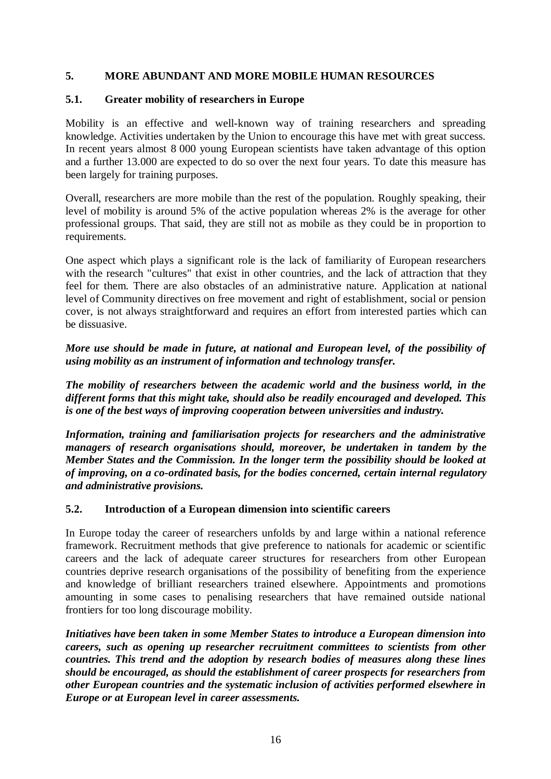### **5. MORE ABUNDANT AND MORE MOBILE HUMAN RESOURCES**

### **5.1. Greater mobility of researchers in Europe**

Mobility is an effective and well-known way of training researchers and spreading knowledge. Activities undertaken by the Union to encourage this have met with great success. In recent years almost 8 000 young European scientists have taken advantage of this option and a further 13.000 are expected to do so over the next four years. To date this measure has been largely for training purposes.

Overall, researchers are more mobile than the rest of the population. Roughly speaking, their level of mobility is around 5% of the active population whereas 2% is the average for other professional groups. That said, they are still not as mobile as they could be in proportion to requirements.

One aspect which plays a significant role is the lack of familiarity of European researchers with the research "cultures" that exist in other countries, and the lack of attraction that they feel for them. There are also obstacles of an administrative nature. Application at national level of Community directives on free movement and right of establishment, social or pension cover, is not always straightforward and requires an effort from interested parties which can be dissuasive.

*More use should be made in future, at national and European level, of the possibility of using mobility as an instrument of information and technology transfer.*

*The mobility of researchers between the academic world and the business world, in the different forms that this might take, should also be readily encouraged and developed. This is one of the best ways of improving cooperation between universities and industry.*

*Information, training and familiarisation projects for researchers and the administrative managers of research organisations should, moreover, be undertaken in tandem by the Member States and the Commission. In the longer term the possibility should be looked at of improving, on a co-ordinated basis, for the bodies concerned, certain internal regulatory and administrative provisions.*

### **5.2. Introduction of a European dimension into scientific careers**

In Europe today the career of researchers unfolds by and large within a national reference framework. Recruitment methods that give preference to nationals for academic or scientific careers and the lack of adequate career structures for researchers from other European countries deprive research organisations of the possibility of benefiting from the experience and knowledge of brilliant researchers trained elsewhere. Appointments and promotions amounting in some cases to penalising researchers that have remained outside national frontiers for too long discourage mobility.

*Initiatives have been taken in some Member States to introduce a European dimension into careers, such as opening up researcher recruitment committees to scientists from other countries. This trend and the adoption by research bodies of measures along these lines should be encouraged, as should the establishment of career prospects for researchers from other European countries and the systematic inclusion of activities performed elsewhere in Europe or at European level in career assessments.*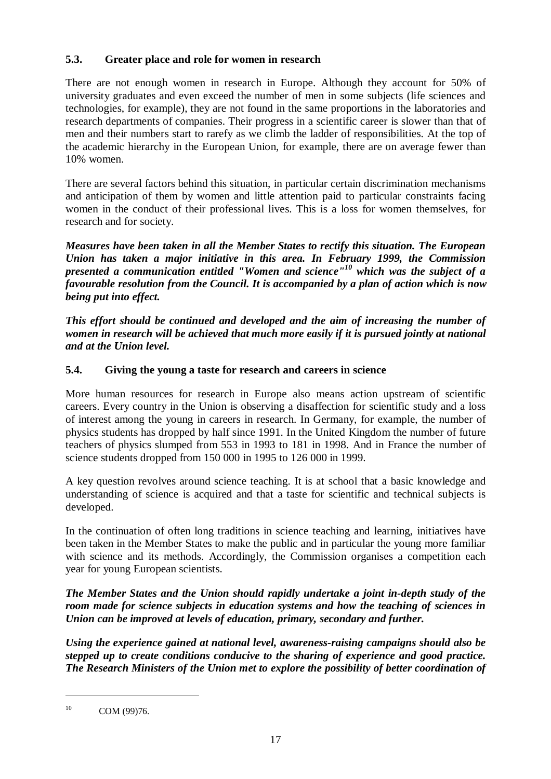### **5.3. Greater place and role for women in research**

There are not enough women in research in Europe. Although they account for 50% of university graduates and even exceed the number of men in some subjects (life sciences and technologies, for example), they are not found in the same proportions in the laboratories and research departments of companies. Their progress in a scientific career is slower than that of men and their numbers start to rarefy as we climb the ladder of responsibilities. At the top of the academic hierarchy in the European Union, for example, there are on average fewer than 10% women.

There are several factors behind this situation, in particular certain discrimination mechanisms and anticipation of them by women and little attention paid to particular constraints facing women in the conduct of their professional lives. This is a loss for women themselves, for research and for society.

*Measures have been taken in all the Member States to rectify this situation. The European Union has taken a major initiative in this area. In February 1999, the Commission presented a communication entitled "Women and science"<sup>10</sup> which was the subject of a favourable resolution from the Council. It is accompanied by a plan of action which is now being put into effect.*

*This effort should be continued and developed and the aim of increasing the number of women in research will be achieved that much more easily if it is pursued jointly at national and at the Union level.*

### **5.4. Giving the young a taste for research and careers in science**

More human resources for research in Europe also means action upstream of scientific careers. Every country in the Union is observing a disaffection for scientific study and a loss of interest among the young in careers in research. In Germany, for example, the number of physics students has dropped by half since 1991. In the United Kingdom the number of future teachers of physics slumped from 553 in 1993 to 181 in 1998. And in France the number of science students dropped from 150 000 in 1995 to 126 000 in 1999.

A key question revolves around science teaching. It is at school that a basic knowledge and understanding of science is acquired and that a taste for scientific and technical subjects is developed.

In the continuation of often long traditions in science teaching and learning, initiatives have been taken in the Member States to make the public and in particular the young more familiar with science and its methods. Accordingly, the Commission organises a competition each year for young European scientists.

*The Member States and the Union should rapidly undertake a joint in-depth study of the room made for science subjects in education systems and how the teaching of sciences in Union can be improved at levels of education, primary, secondary and further.*

*Using the experience gained at national level, awareness-raising campaigns should also be stepped up to create conditions conducive to the sharing of experience and good practice. The Research Ministers of the Union met to explore the possibility of better coordination of*

<sup>&</sup>lt;sup>10</sup> COM (99)76.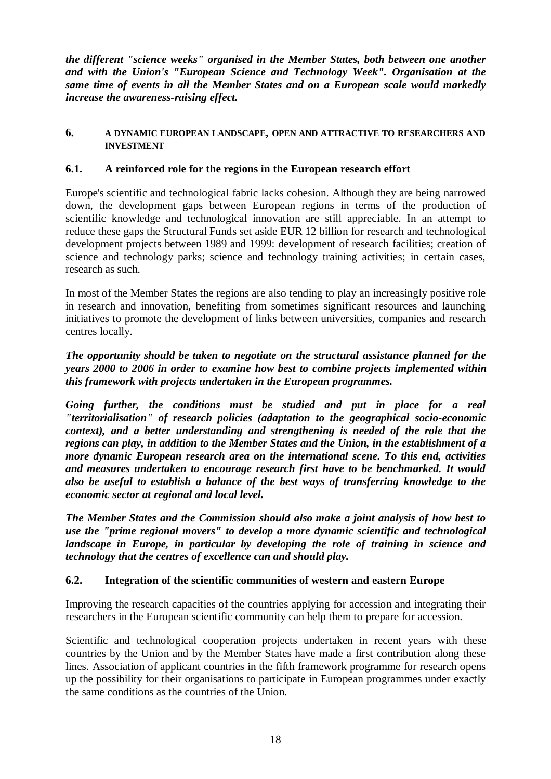*the different "science weeks" organised in the Member States, both between one another and with the Union's "European Science and Technology Week". Organisation at the same time of events in all the Member States and on a European scale would markedly increase the awareness-raising effect.*

#### **6. A DYNAMIC EUROPEAN LANDSCAPE, OPEN AND ATTRACTIVE TO RESEARCHERS AND INVESTMENT**

### **6.1. A reinforced role for the regions in the European research effort**

Europe's scientific and technological fabric lacks cohesion. Although they are being narrowed down, the development gaps between European regions in terms of the production of scientific knowledge and technological innovation are still appreciable. In an attempt to reduce these gaps the Structural Funds set aside EUR 12 billion for research and technological development projects between 1989 and 1999: development of research facilities; creation of science and technology parks; science and technology training activities; in certain cases, research as such.

In most of the Member States the regions are also tending to play an increasingly positive role in research and innovation, benefiting from sometimes significant resources and launching initiatives to promote the development of links between universities, companies and research centres locally.

### *The opportunity should be taken to negotiate on the structural assistance planned for the years 2000 to 2006 in order to examine how best to combine projects implemented within this framework with projects undertaken in the European programmes.*

*Going further, the conditions must be studied and put in place for a real "territorialisation" of research policies (adaptation to the geographical socio-economic context), and a better understanding and strengthening is needed of the role that the regions can play, in addition to the Member States and the Union, in the establishment of a more dynamic European research area on the international scene. To this end, activities and measures undertaken to encourage research first have to be benchmarked. It would also be useful to establish a balance of the best ways of transferring knowledge to the economic sector at regional and local level.*

*The Member States and the Commission should also make a joint analysis of how best to use the "prime regional movers" to develop a more dynamic scientific and technological landscape in Europe, in particular by developing the role of training in science and technology that the centres of excellence can and should play.*

### **6.2. Integration of the scientific communities of western and eastern Europe**

Improving the research capacities of the countries applying for accession and integrating their researchers in the European scientific community can help them to prepare for accession.

Scientific and technological cooperation projects undertaken in recent years with these countries by the Union and by the Member States have made a first contribution along these lines. Association of applicant countries in the fifth framework programme for research opens up the possibility for their organisations to participate in European programmes under exactly the same conditions as the countries of the Union.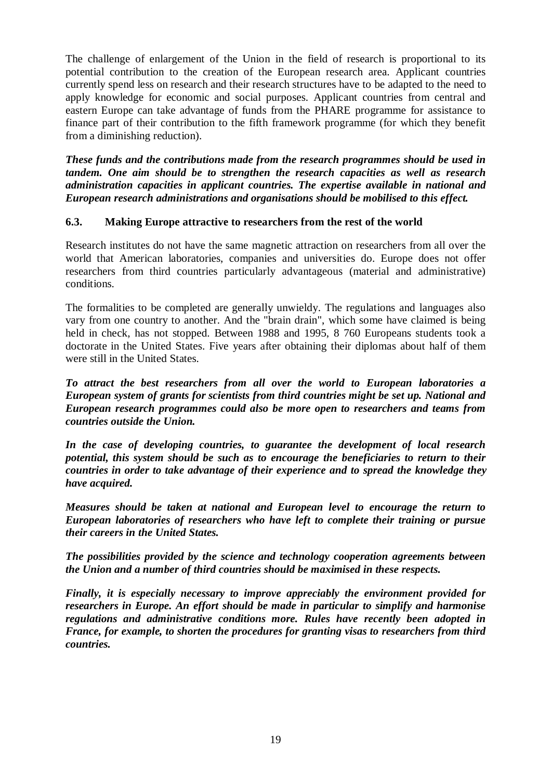The challenge of enlargement of the Union in the field of research is proportional to its potential contribution to the creation of the European research area. Applicant countries currently spend less on research and their research structures have to be adapted to the need to apply knowledge for economic and social purposes. Applicant countries from central and eastern Europe can take advantage of funds from the PHARE programme for assistance to finance part of their contribution to the fifth framework programme (for which they benefit from a diminishing reduction).

*These funds and the contributions made from the research programmes should be used in tandem. One aim should be to strengthen the research capacities as well as research administration capacities in applicant countries. The expertise available in national and European research administrations and organisations should be mobilised to this effect.*

### **6.3. Making Europe attractive to researchers from the rest of the world**

Research institutes do not have the same magnetic attraction on researchers from all over the world that American laboratories, companies and universities do. Europe does not offer researchers from third countries particularly advantageous (material and administrative) conditions.

The formalities to be completed are generally unwieldy. The regulations and languages also vary from one country to another. And the "brain drain", which some have claimed is being held in check, has not stopped. Between 1988 and 1995, 8 760 Europeans students took a doctorate in the United States. Five years after obtaining their diplomas about half of them were still in the United States.

*To attract the best researchers from all over the world to European laboratories a European system of grants for scientists from third countries might be set up. National and European research programmes could also be more open to researchers and teams from countries outside the Union.*

*In the case of developing countries, to guarantee the development of local research potential, this system should be such as to encourage the beneficiaries to return to their countries in order to take advantage of their experience and to spread the knowledge they have acquired.*

*Measures should be taken at national and European level to encourage the return to European laboratories of researchers who have left to complete their training or pursue their careers in the United States.*

*The possibilities provided by the science and technology cooperation agreements between the Union and a number of third countries should be maximised in these respects.*

*Finally, it is especially necessary to improve appreciably the environment provided for researchers in Europe. An effort should be made in particular to simplify and harmonise regulations and administrative conditions more. Rules have recently been adopted in France, for example, to shorten the procedures for granting visas to researchers from third countries.*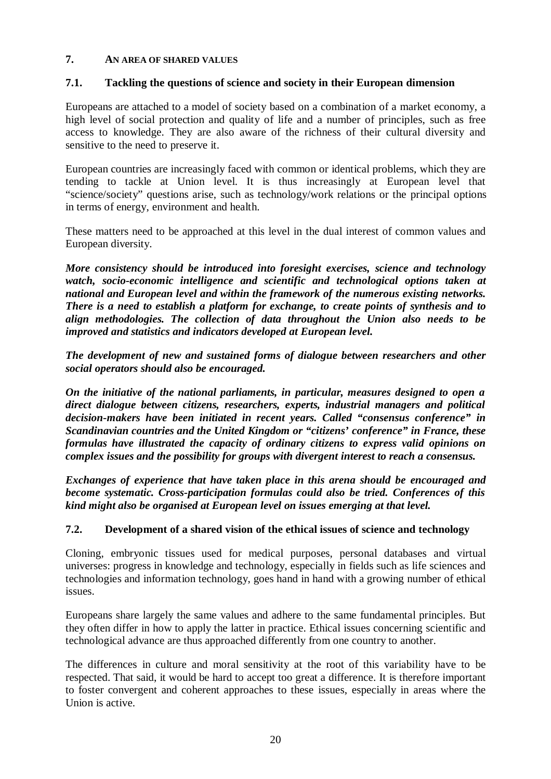### **7. AN AREA OF SHARED VALUES**

### **7.1. Tackling the questions of science and society in their European dimension**

Europeans are attached to a model of society based on a combination of a market economy, a high level of social protection and quality of life and a number of principles, such as free access to knowledge. They are also aware of the richness of their cultural diversity and sensitive to the need to preserve it.

European countries are increasingly faced with common or identical problems, which they are tending to tackle at Union level. It is thus increasingly at European level that "science/society" questions arise, such as technology/work relations or the principal options in terms of energy, environment and health.

These matters need to be approached at this level in the dual interest of common values and European diversity.

*More consistency should be introduced into foresight exercises, science and technology watch, socio-economic intelligence and scientific and technological options taken at national and European level and within the framework of the numerous existing networks. There is a need to establish a platform for exchange, to create points of synthesis and to align methodologies. The collection of data throughout the Union also needs to be improved and statistics and indicators developed at European level.*

*The development of new and sustained forms of dialogue between researchers and other social operators should also be encouraged.*

*On the initiative of the national parliaments, in particular, measures designed to open a direct dialogue between citizens, researchers, experts, industrial managers and political decision-makers have been initiated in recent years. Called "consensus conference" in Scandinavian countries and the United Kingdom or "citizens' conference" in France, these formulas have illustrated the capacity of ordinary citizens to express valid opinions on complex issues and the possibility for groups with divergent interest to reach a consensus.*

*Exchanges of experience that have taken place in this arena should be encouraged and become systematic. Cross-participation formulas could also be tried. Conferences of this kind might also be organised at European level on issues emerging at that level.*

#### **7.2. Development of a shared vision of the ethical issues of science and technology**

Cloning, embryonic tissues used for medical purposes, personal databases and virtual universes: progress in knowledge and technology, especially in fields such as life sciences and technologies and information technology, goes hand in hand with a growing number of ethical issues.

Europeans share largely the same values and adhere to the same fundamental principles. But they often differ in how to apply the latter in practice. Ethical issues concerning scientific and technological advance are thus approached differently from one country to another.

The differences in culture and moral sensitivity at the root of this variability have to be respected. That said, it would be hard to accept too great a difference. It is therefore important to foster convergent and coherent approaches to these issues, especially in areas where the Union is active.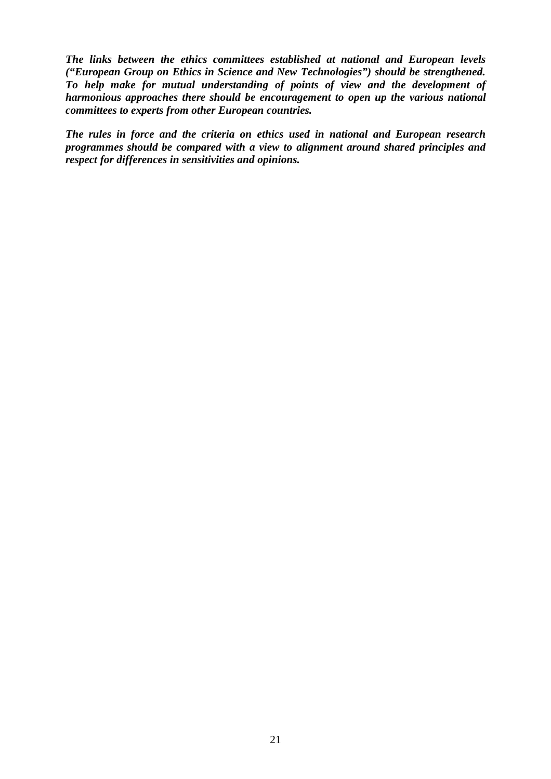*The links between the ethics committees established at national and European levels ("European Group on Ethics in Science and New Technologies") should be strengthened. To help make for mutual understanding of points of view and the development of harmonious approaches there should be encouragement to open up the various national committees to experts from other European countries.*

*The rules in force and the criteria on ethics used in national and European research programmes should be compared with a view to alignment around shared principles and respect for differences in sensitivities and opinions.*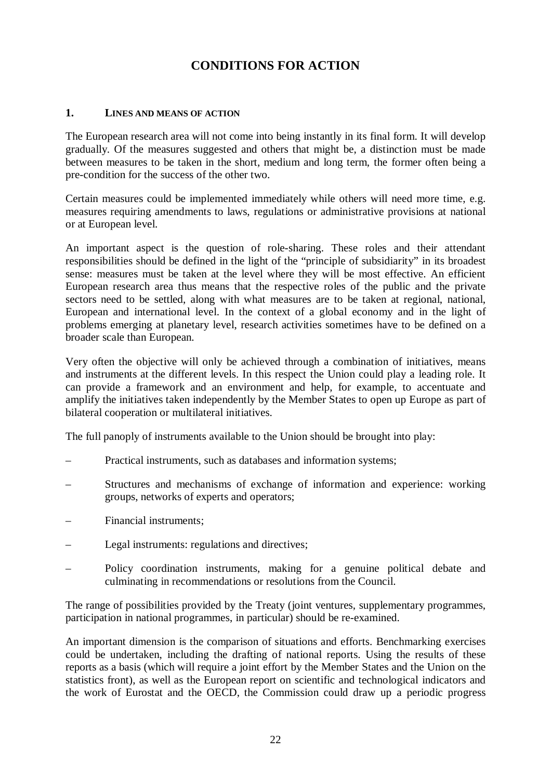# **CONDITIONS FOR ACTION**

#### **1. LINES AND MEANS OF ACTION**

The European research area will not come into being instantly in its final form. It will develop gradually. Of the measures suggested and others that might be, a distinction must be made between measures to be taken in the short, medium and long term, the former often being a pre-condition for the success of the other two.

Certain measures could be implemented immediately while others will need more time, e.g. measures requiring amendments to laws, regulations or administrative provisions at national or at European level.

An important aspect is the question of role-sharing. These roles and their attendant responsibilities should be defined in the light of the "principle of subsidiarity" in its broadest sense: measures must be taken at the level where they will be most effective. An efficient European research area thus means that the respective roles of the public and the private sectors need to be settled, along with what measures are to be taken at regional, national, European and international level. In the context of a global economy and in the light of problems emerging at planetary level, research activities sometimes have to be defined on a broader scale than European.

Very often the objective will only be achieved through a combination of initiatives, means and instruments at the different levels. In this respect the Union could play a leading role. It can provide a framework and an environment and help, for example, to accentuate and amplify the initiatives taken independently by the Member States to open up Europe as part of bilateral cooperation or multilateral initiatives.

The full panoply of instruments available to the Union should be brought into play:

- Practical instruments, such as databases and information systems;
- Structures and mechanisms of exchange of information and experience: working groups, networks of experts and operators;
- Financial instruments;
- Legal instruments: regulations and directives;
- Policy coordination instruments, making for a genuine political debate and culminating in recommendations or resolutions from the Council.

The range of possibilities provided by the Treaty (joint ventures, supplementary programmes, participation in national programmes, in particular) should be re-examined.

An important dimension is the comparison of situations and efforts. Benchmarking exercises could be undertaken, including the drafting of national reports. Using the results of these reports as a basis (which will require a joint effort by the Member States and the Union on the statistics front), as well as the European report on scientific and technological indicators and the work of Eurostat and the OECD, the Commission could draw up a periodic progress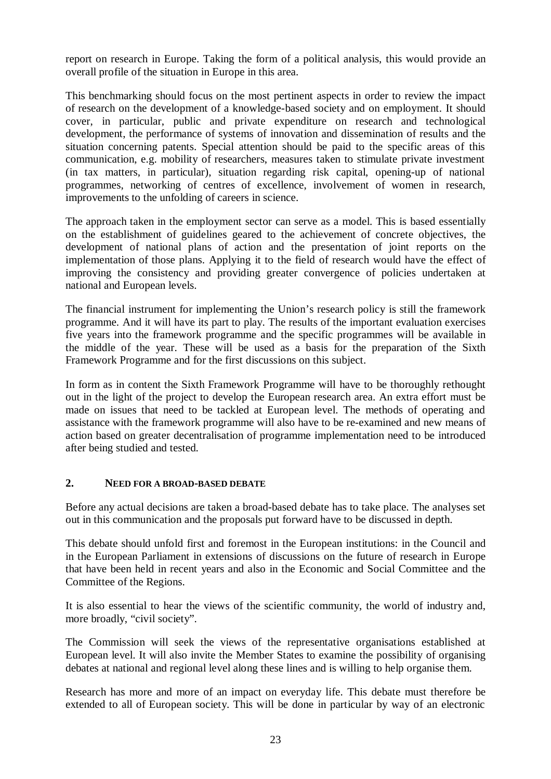report on research in Europe. Taking the form of a political analysis, this would provide an overall profile of the situation in Europe in this area.

This benchmarking should focus on the most pertinent aspects in order to review the impact of research on the development of a knowledge-based society and on employment. It should cover, in particular, public and private expenditure on research and technological development, the performance of systems of innovation and dissemination of results and the situation concerning patents. Special attention should be paid to the specific areas of this communication, e.g. mobility of researchers, measures taken to stimulate private investment (in tax matters, in particular), situation regarding risk capital, opening-up of national programmes, networking of centres of excellence, involvement of women in research, improvements to the unfolding of careers in science.

The approach taken in the employment sector can serve as a model. This is based essentially on the establishment of guidelines geared to the achievement of concrete objectives, the development of national plans of action and the presentation of joint reports on the implementation of those plans. Applying it to the field of research would have the effect of improving the consistency and providing greater convergence of policies undertaken at national and European levels.

The financial instrument for implementing the Union's research policy is still the framework programme. And it will have its part to play. The results of the important evaluation exercises five years into the framework programme and the specific programmes will be available in the middle of the year. These will be used as a basis for the preparation of the Sixth Framework Programme and for the first discussions on this subject.

In form as in content the Sixth Framework Programme will have to be thoroughly rethought out in the light of the project to develop the European research area. An extra effort must be made on issues that need to be tackled at European level. The methods of operating and assistance with the framework programme will also have to be re-examined and new means of action based on greater decentralisation of programme implementation need to be introduced after being studied and tested.

#### **2. NEED FOR A BROAD-BASED DEBATE**

Before any actual decisions are taken a broad-based debate has to take place. The analyses set out in this communication and the proposals put forward have to be discussed in depth.

This debate should unfold first and foremost in the European institutions: in the Council and in the European Parliament in extensions of discussions on the future of research in Europe that have been held in recent years and also in the Economic and Social Committee and the Committee of the Regions.

It is also essential to hear the views of the scientific community, the world of industry and, more broadly, "civil society".

The Commission will seek the views of the representative organisations established at European level. It will also invite the Member States to examine the possibility of organising debates at national and regional level along these lines and is willing to help organise them.

Research has more and more of an impact on everyday life. This debate must therefore be extended to all of European society. This will be done in particular by way of an electronic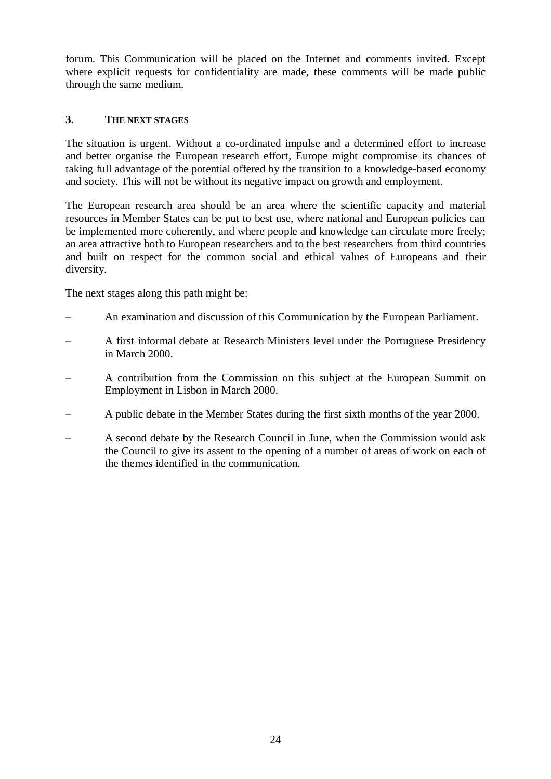forum. This Communication will be placed on the Internet and comments invited. Except where explicit requests for confidentiality are made, these comments will be made public through the same medium.

### **3. THE NEXT STAGES**

The situation is urgent. Without a co-ordinated impulse and a determined effort to increase and better organise the European research effort, Europe might compromise its chances of taking full advantage of the potential offered by the transition to a knowledge-based economy and society. This will not be without its negative impact on growth and employment.

The European research area should be an area where the scientific capacity and material resources in Member States can be put to best use, where national and European policies can be implemented more coherently, and where people and knowledge can circulate more freely; an area attractive both to European researchers and to the best researchers from third countries and built on respect for the common social and ethical values of Europeans and their diversity.

The next stages along this path might be:

- An examination and discussion of this Communication by the European Parliament.
- A first informal debate at Research Ministers level under the Portuguese Presidency in March 2000.
- A contribution from the Commission on this subject at the European Summit on Employment in Lisbon in March 2000.
- A public debate in the Member States during the first sixth months of the year 2000.
- A second debate by the Research Council in June, when the Commission would ask the Council to give its assent to the opening of a number of areas of work on each of the themes identified in the communication.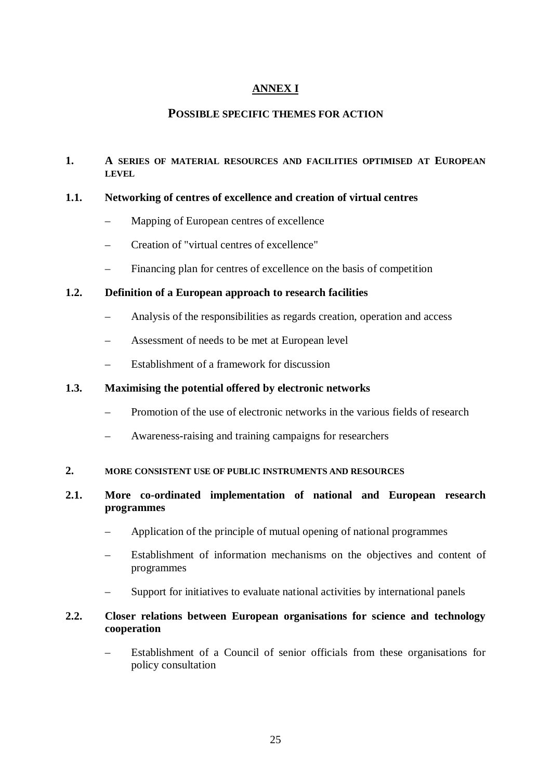### **ANNEX I**

### **POSSIBLE SPECIFIC THEMES FOR ACTION**

#### **1. A SERIES OF MATERIAL RESOURCES AND FACILITIES OPTIMISED AT EUROPEAN LEVEL**

#### **1.1. Networking of centres of excellence and creation of virtual centres**

- Mapping of European centres of excellence
- Creation of "virtual centres of excellence"
- Financing plan for centres of excellence on the basis of competition

#### **1.2. Definition of a European approach to research facilities**

- Analysis of the responsibilities as regards creation, operation and access
- Assessment of needs to be met at European level
- Establishment of a framework for discussion

#### **1.3. Maximising the potential offered by electronic networks**

- Promotion of the use of electronic networks in the various fields of research
- Awareness-raising and training campaigns for researchers

#### **2. MORE CONSISTENT USE OF PUBLIC INSTRUMENTS AND RESOURCES**

#### **2.1. More co-ordinated implementation of national and European research programmes**

- Application of the principle of mutual opening of national programmes
- Establishment of information mechanisms on the objectives and content of programmes
- Support for initiatives to evaluate national activities by international panels

#### **2.2. Closer relations between European organisations for science and technology cooperation**

– Establishment of a Council of senior officials from these organisations for policy consultation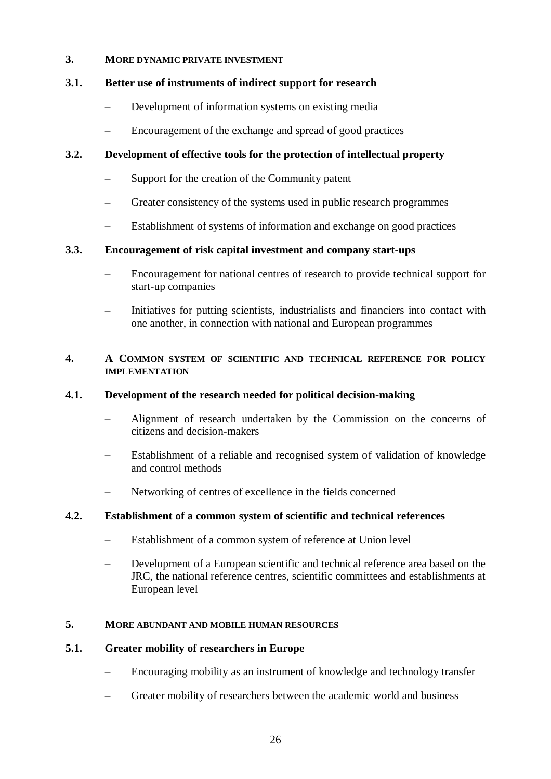#### **3. MORE DYNAMIC PRIVATE INVESTMENT**

### **3.1. Better use of instruments of indirect support for research**

- Development of information systems on existing media
- Encouragement of the exchange and spread of good practices

### **3.2. Development of effective tools for the protection of intellectual property**

- Support for the creation of the Community patent
- Greater consistency of the systems used in public research programmes
- Establishment of systems of information and exchange on good practices

#### **3.3. Encouragement of risk capital investment and company start-ups**

- Encouragement for national centres of research to provide technical support for start-up companies
- Initiatives for putting scientists, industrialists and financiers into contact with one another, in connection with national and European programmes

#### **4. A COMMON SYSTEM OF SCIENTIFIC AND TECHNICAL REFERENCE FOR POLICY IMPLEMENTATION**

#### **4.1. Development of the research needed for political decision-making**

- Alignment of research undertaken by the Commission on the concerns of citizens and decision-makers
- Establishment of a reliable and recognised system of validation of knowledge and control methods
- Networking of centres of excellence in the fields concerned

#### **4.2. Establishment of a common system of scientific and technical references**

- Establishment of a common system of reference at Union level
- Development of a European scientific and technical reference area based on the JRC, the national reference centres, scientific committees and establishments at European level

#### **5. MORE ABUNDANT AND MOBILE HUMAN RESOURCES**

#### **5.1. Greater mobility of researchers in Europe**

- Encouraging mobility as an instrument of knowledge and technology transfer
- Greater mobility of researchers between the academic world and business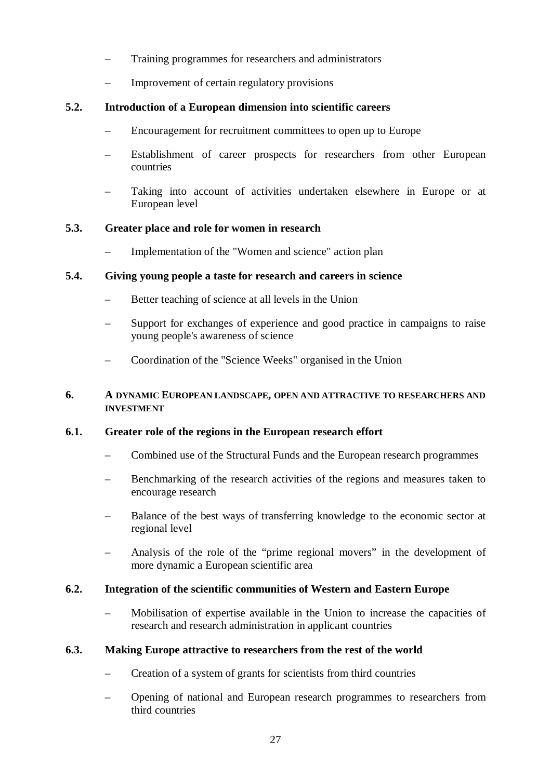- Training programmes for researchers and administrators
- Improvement of certain regulatory provisions

### **5.2. Introduction of a European dimension into scientific careers**

- Encouragement for recruitment committees to open up to Europe
- Establishment of career prospects for researchers from other European countries
- Taking into account of activities undertaken elsewhere in Europe or at European level

### **5.3. Greater place and role for women in research**

– Implementation of the "Women and science" action plan

### **5.4. Giving young people a taste for research and careers in science**

- Better teaching of science at all levels in the Union
- Support for exchanges of experience and good practice in campaigns to raise young people's awareness of science
- Coordination of the "Science Weeks" organised in the Union

#### **6. A DYNAMIC EUROPEAN LANDSCAPE, OPEN AND ATTRACTIVE TO RESEARCHERS AND INVESTMENT**

### **6.1. Greater role of the regions in the European research effort**

- Combined use of the Structural Funds and the European research programmes
- Benchmarking of the research activities of the regions and measures taken to encourage research
- Balance of the best ways of transferring knowledge to the economic sector at regional level
- Analysis of the role of the "prime regional movers" in the development of more dynamic a European scientific area

#### **6.2. Integration of the scientific communities of Western and Eastern Europe**

– Mobilisation of expertise available in the Union to increase the capacities of research and research administration in applicant countries

#### **6.3. Making Europe attractive to researchers from the rest of the world**

- Creation of a system of grants for scientists from third countries
- Opening of national and European research programmes to researchers from third countries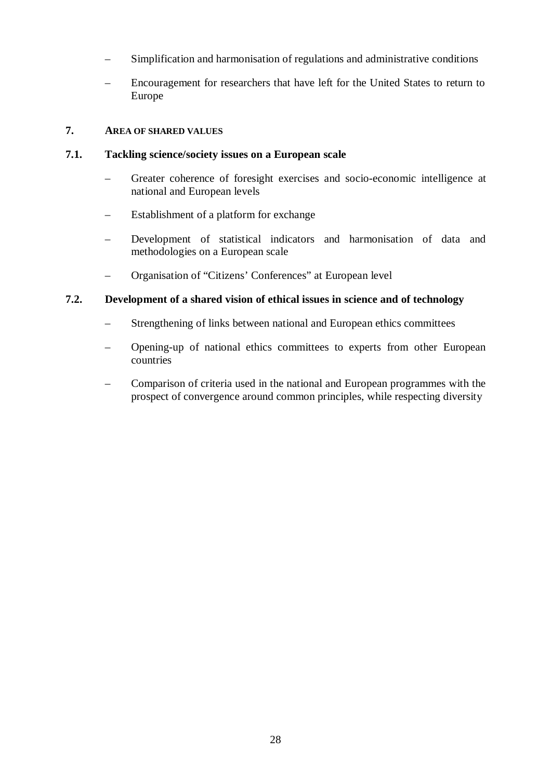- Simplification and harmonisation of regulations and administrative conditions
- Encouragement for researchers that have left for the United States to return to Europe

### **7. AREA OF SHARED VALUES**

#### **7.1. Tackling science/society issues on a European scale**

- Greater coherence of foresight exercises and socio-economic intelligence at national and European levels
- Establishment of a platform for exchange
- Development of statistical indicators and harmonisation of data and methodologies on a European scale
- Organisation of "Citizens' Conferences" at European level

#### **7.2. Development of a shared vision of ethical issues in science and of technology**

- Strengthening of links between national and European ethics committees
- Opening-up of national ethics committees to experts from other European countries
- Comparison of criteria used in the national and European programmes with the prospect of convergence around common principles, while respecting diversity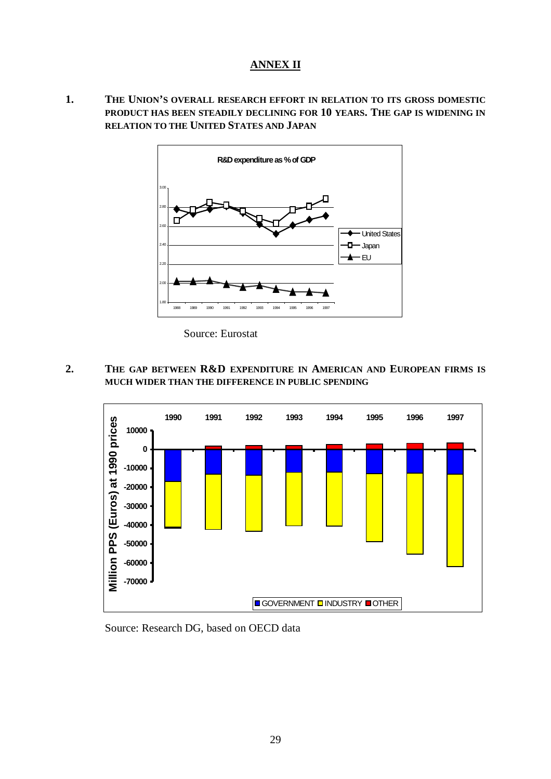### **ANNEX II**

**1. THE UNION'S OVERALL RESEARCH EFFORT IN RELATION TO ITS GROSS DOMESTIC PRODUCT HAS BEEN STEADILY DECLINING FOR 10 YEARS. THE GAP IS WIDENING IN RELATION TO THE UNITED STATES AND JAPAN**



Source: Eurostat

**2. THE GAP BETWEEN R&D EXPENDITURE IN AMERICAN AND EUROPEAN FIRMS IS MUCH WIDER THAN THE DIFFERENCE IN PUBLIC SPENDING**



Source: Research DG, based on OECD data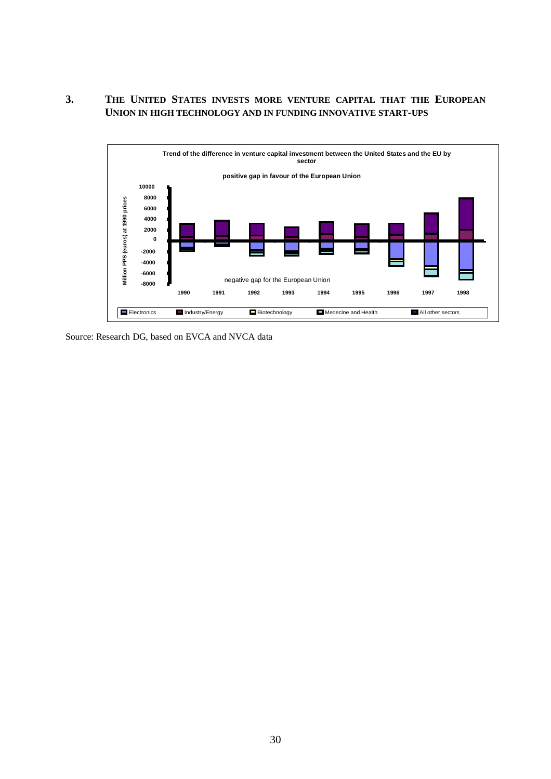#### **3. THE UNITED STATES INVESTS MORE VENTURE CAPITAL THAT THE EUROPEAN UNION IN HIGH TECHNOLOGY AND IN FUNDING INNOVATIVE START-UPS**



Source: Research DG, based on EVCA and NVCA data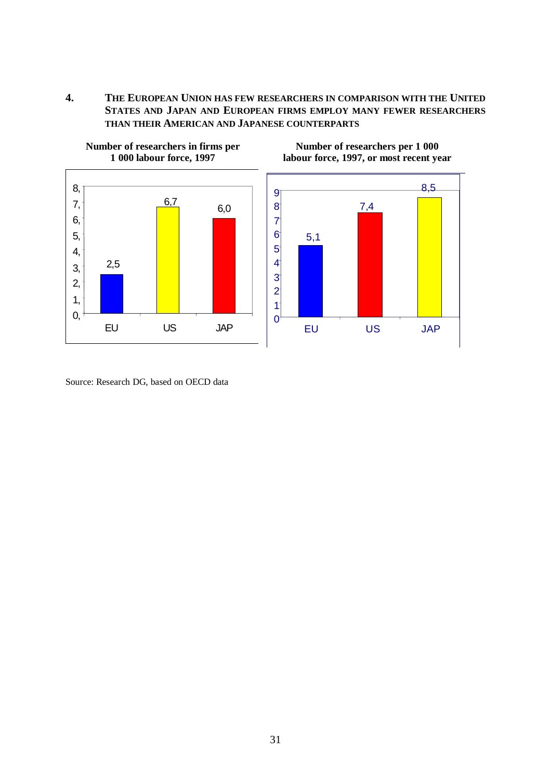**4. THE EUROPEAN UNION HAS FEW RESEARCHERS IN COMPARISON WITH THE UNITED STATES AND JAPAN AND EUROPEAN FIRMS EMPLOY MANY FEWER RESEARCHERS THAN THEIR AMERICAN AND JAPANESE COUNTERPARTS**



**Number of researchers in firms per 1 000 labour force, 1997**

Source: Research DG, based on OECD data

**Number of researchers per 1 000 labour force, 1997, or most recent year**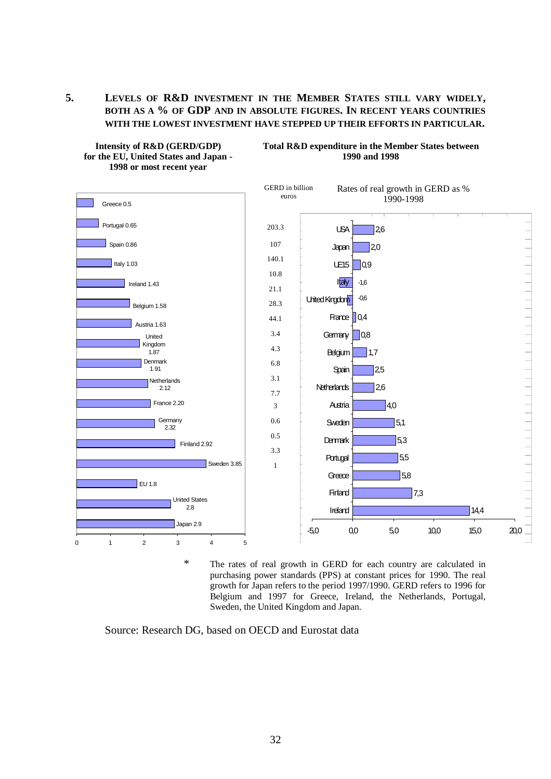**5. LEVELS OF R&D INVESTMENT IN THE MEMBER STATES STILL VARY WIDELY, BOTH AS A % OF GDP AND IN ABSOLUTE FIGURES. IN RECENT YEARS COUNTRIES WITH THE LOWEST INVESTMENT HAVE STEPPED UP THEIR EFFORTS IN PARTICULAR.**



\* The rates of real growth in GERD for each country are calculated in purchasing power standards (PPS) at constant prices for 1990. The real growth for Japan refers to the period 1997/1990. GERD refers to 1996 for Belgium and 1997 for Greece, Ireland, the Netherlands, Portugal, Sweden, the United Kingdom and Japan.

Source: Research DG, based on OECD and Eurostat data

**Intensity of R&D (GERD/GDP) for the EU, United States and Japan - 1998 or most recent year**

**Total R&D expenditure in the Member States between 1990 and 1998**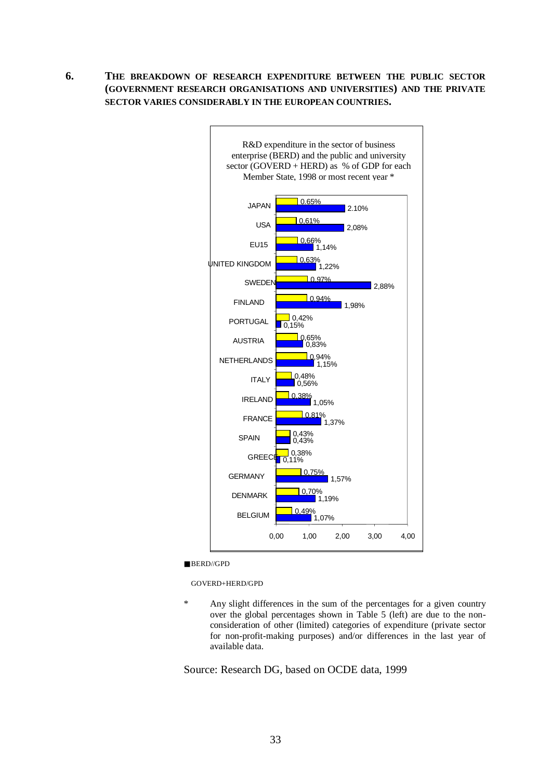**6. THE BREAKDOWN OF RESEARCH EXPENDITURE BETWEEN THE PUBLIC SECTOR (GOVERNMENT RESEARCH ORGANISATIONS AND UNIVERSITIES) AND THE PRIVATE SECTOR VARIES CONSIDERABLY IN THE EUROPEAN COUNTRIES.**



■ BERD//GPD

GOVERD+HERD/GPD

Any slight differences in the sum of the percentages for a given country over the global percentages shown in Table 5 (left) are due to the nonconsideration of other (limited) categories of expenditure (private sector for non-profit-making purposes) and/or differences in the last year of available data.

Source: Research DG, based on OCDE data, 1999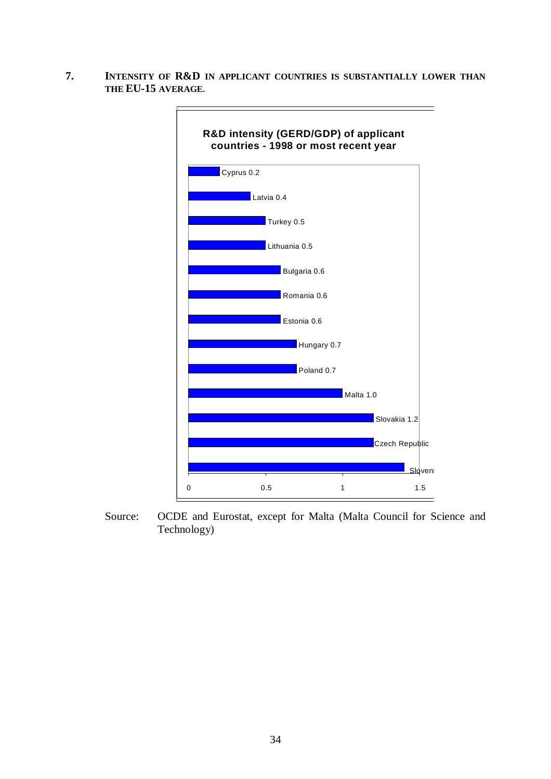**7. INTENSITY OF R&D IN APPLICANT COUNTRIES IS SUBSTANTIALLY LOWER THAN THE EU-15 AVERAGE**.



Source: OCDE and Eurostat, except for Malta (Malta Council for Science and Technology)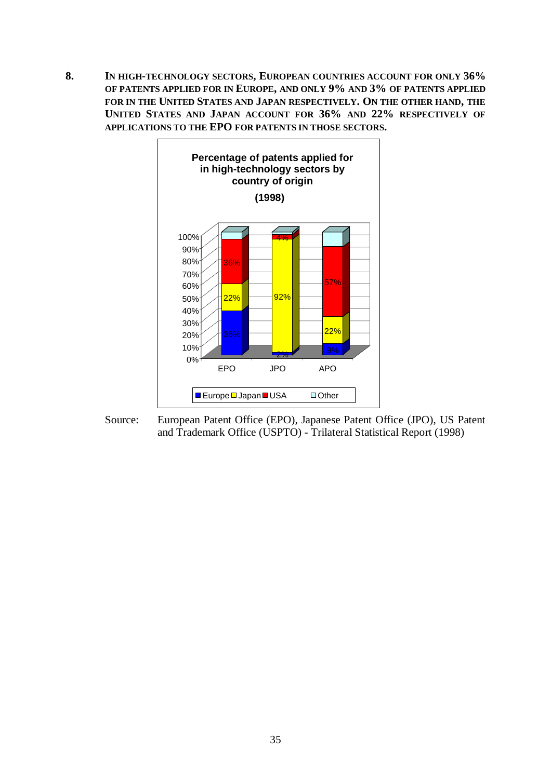**8. IN HIGH-TECHNOLOGY SECTORS, EUROPEAN COUNTRIES ACCOUNT FOR ONLY 36% OF PATENTS APPLIED FOR IN EUROPE, AND ONLY 9% AND 3% OF PATENTS APPLIED FOR IN THE UNITED STATES AND JAPAN RESPECTIVELY. ON THE OTHER HAND, THE UNITED STATES AND JAPAN ACCOUNT FOR 36% AND 22% RESPECTIVELY OF APPLICATIONS TO THE EPO FOR PATENTS IN THOSE SECTORS.**



Source: European Patent Office (EPO), Japanese Patent Office (JPO), US Patent and Trademark Office (USPTO) - Trilateral Statistical Report (1998)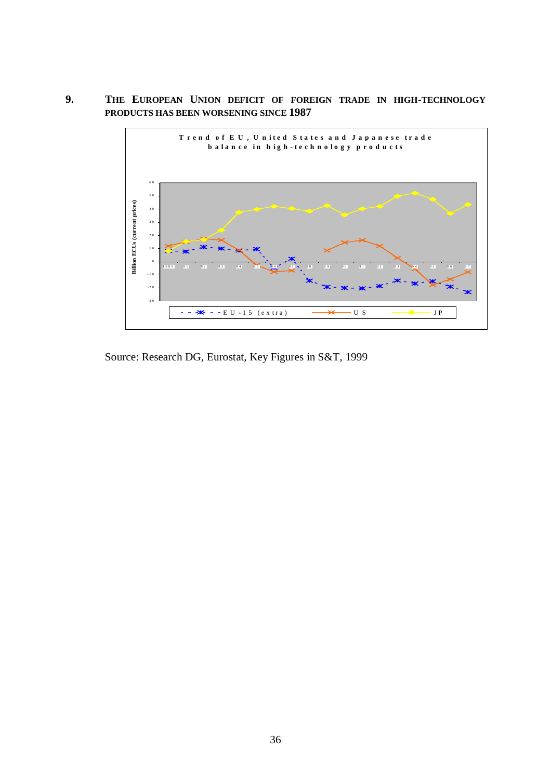**9. THE EUROPEAN UNION DEFICIT OF FOREIGN TRADE IN HIGH-TECHNOLOGY PRODUCTS HAS BEEN WORSENING SINCE 1987**



Source: Research DG, Eurostat, Key Figures in S&T, 1999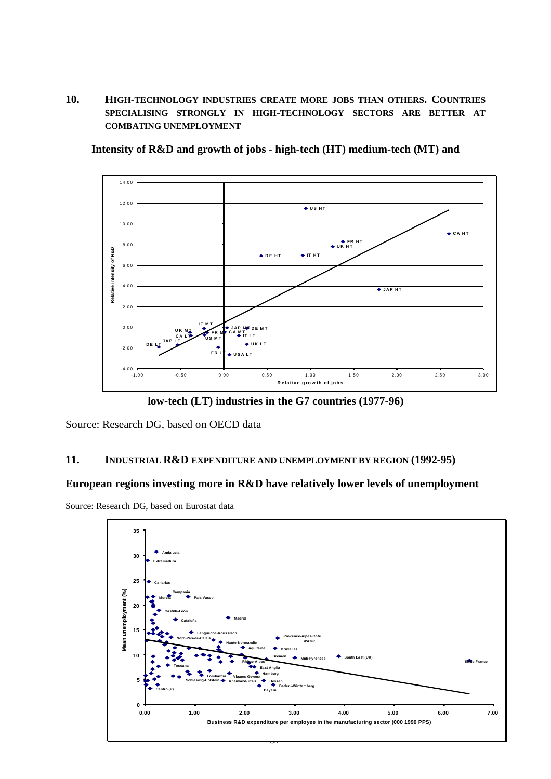**10. HIGH-TECHNOLOGY INDUSTRIES CREATE MORE JOBS THAN OTHERS. COUNTRIES SPECIALISING STRONGLY IN HIGH-TECHNOLOGY SECTORS ARE BETTER AT COMBATING UNEMPLOYMENT**



**Intensity of R&D and growth of jobs - high-tech (HT) medium-tech (MT) and**

**low-tech (LT) industries in the G7 countries (1977-96)**

Source: Research DG, based on OECD data

#### **11. INDUSTRIAL R&D EXPENDITURE AND UNEMPLOYMENT BY REGION (1992-95)**

#### **European regions investing more in R&D have relatively lower levels of unemployment**

Source: Research DG, based on Eurostat data